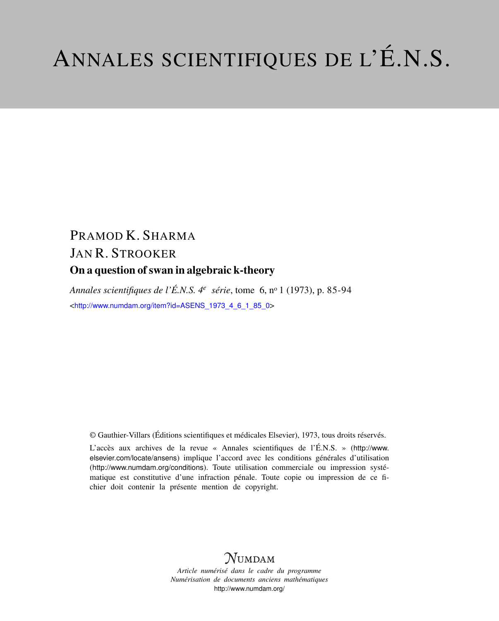# ANNALES SCIENTIFIQUES DE L'É.N.S.

# PRAMOD K. SHARMA JAN R. STROOKER On a question of swan in algebraic k-theory

*Annales scientifiques de l'É.N.S. 4<sup>e</sup> série*, tome 6, n<sup>o</sup> 1 (1973), p. 85-94 <[http://www.numdam.org/item?id=ASENS\\_1973\\_4\\_6\\_1\\_85\\_0](http://www.numdam.org/item?id=ASENS_1973_4_6_1_85_0)>

© Gauthier-Villars (Éditions scientifiques et médicales Elsevier), 1973, tous droits réservés.

L'accès aux archives de la revue « Annales scientifiques de l'É.N.S. » ([http://www.](http://www.elsevier.com/locate/ansens) [elsevier.com/locate/ansens](http://www.elsevier.com/locate/ansens)) implique l'accord avec les conditions générales d'utilisation (<http://www.numdam.org/conditions>). Toute utilisation commerciale ou impression systématique est constitutive d'une infraction pénale. Toute copie ou impression de ce fichier doit contenir la présente mention de copyright.

## $N$ UMDAM

*Article numérisé dans le cadre du programme Numérisation de documents anciens mathématiques* <http://www.numdam.org/>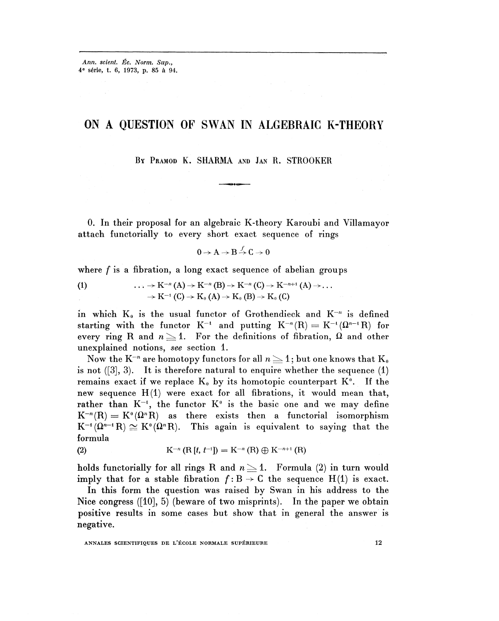## ON A QUESTION OF SWAN IN ALGEBRAIC K-THEORY

BY PRAMOD K. SHARMA AND JAN R. STROOKER

0. In their proposal for an algebraic K-theory Karoubi and Villamayor attach functorially to every short exact sequence of rings

$$
0\to A\to B\stackrel{\int}{\to} C\to 0
$$

where f is a fibration, a long exact sequence of abelian groups

(1) 
$$
\cdots \rightarrow K^{-n}(A) \rightarrow K^{-n}(B) \rightarrow K^{-n}(C) \rightarrow K^{-n+1}(A) \rightarrow \cdots
$$

$$
\rightarrow K^{-1}(C) \rightarrow K_0(A) \rightarrow K_0(B) \rightarrow K_0(C)
$$

in which  $K_0$  is the usual functor of Grothendieck and  $K^{-n}$  is defined in which  $K_0$  is the usual functor of Grothendieck and  $K$  is defined<br>starting with the functor  $K^{-1}$  and putting  $K^{-n}(R) = K^{-1}(\Omega^{n-1}R)$  for<br>every ring R and  $n \geq 1$ . For the definitions of fibration,  $\Omega$  and other unexplained notions, *see* section 1.

Now the K<sup>-n</sup> are homotopy functors for all  $n \geq 1$ ; but one knows that K<sub>0</sub> is not  $([3], 3)$ . It is therefore natural to enquire whether the sequence  $(1)$ remains exact if we replace  $K_0$  by its homotopic counterpart  $K^0$ . If the new sequence  $H(1)$  were exact for all fibrations, it would mean that, rather than  $K^{-1}$ , the functor  $K^0$  is the basic one and we may define  $K^{-n}(R) = K^{\circ}(\Omega^n R)$  as there exists then a functorial isomorphism  $K^{-1}(\Omega^{n-1}R) \cong K^0(\Omega^nR)$ . This again is equivalent to saying that the formula

(2) 
$$
K^{-n}(R[t, t^{-1}]) = K^{-n}(R) \oplus K^{-n+1}(R)
$$

holds functorially for all rings R and  $n \geq 1$ . Formula (2) in turn would imply that for a stable fibration  $f: B \to C$  the sequence  $H(1)$  is exact.

In this form the question was raised by Swan in his address to the Nice congress  $([10], 5)$  (beware of two misprints). In the paper we obtain positive results in some cases but show that in general the answer is negative.

ANNALES SCIENTIFIQUES DE L'ÉCOLE NORMALE SUPÉRIEURE 12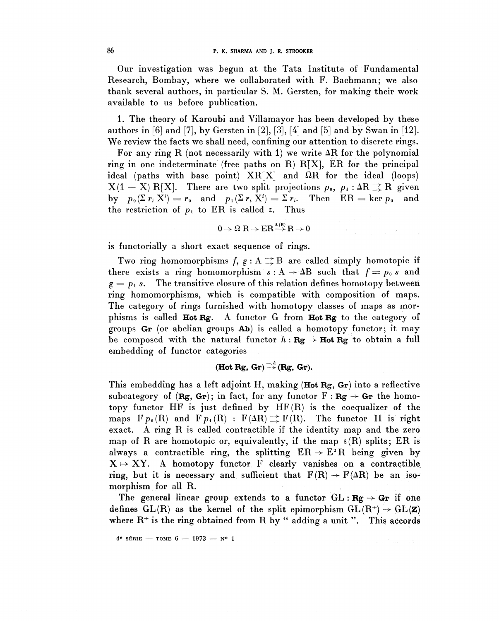Our investigation was begun at the Tata Institute of Fundamental Research, Bombay, where we collaborated with F. Bachmann; we also thank several authors, in particular S. M. Gersten, for making their work available to us before publication.

1. The theory of Karoubi and Villamayor has been developed by these authors in [6] and [7], by Gersten in [2], [3], [4] and [5] and by Swan in [12]. We review the facts we shall need, confining our attention to discrete rings.

For any ring R (not necessarily with 1) we write  $\Delta R$  for the polynomial ring in one indeterminate (free paths on R)  $R[X]$ , ER for the principal ideal (paths with base point)  $XR[X]$  and  $\Omega R$  for the ideal (loops)  $X(1 - X) R[X]$ . There are two split projections  $p_0$ ,  $p_1 : \Delta R \rightrightarrows R$  given by  $p_0(\Sigma r_i X^i) = r_0$  and  $p_1(\Sigma r_i X^i) = \Sigma r_i$ . Then  $ER = \ker p_0$  and the restriction of  $p_1$  to ER is called  $\varepsilon$ . Thus

$$
0\to \Omega\; R\to ER\mathop{\longrightarrow}\limits^{\epsilon(R)} R\to 0
$$

is functorially a short exact sequence of rings.

Two ring homomorphisms  $f, g : A \rightrightarrows B$  are called simply homotopic if there exists a ring homomorphism  $s : A \rightarrow AB$  such that  $f = p_0 s$  and  $g = p_1 s$ . The transitive closure of this relation defines homotopy between ring homomorphisms, which is compatible with composition of maps. The category of rings furnished with homotopy classes of maps as morphisms is called **Hot Rg.** A functor G from **Hot Rg** to the category of groups  $Gr$  (or abelian groups  $Ab$ ) is called a homotopy functor; it may be composed with the natural functor  $h$ **:**  $Rg \rightarrow$  **Hot**  $Rg$  to obtain a full embedding of functor categories

(Hot Rg, Gr) 
$$
\xrightarrow{-\lambda}
$$
 (Rg, Gr).

This embedding has a left adjoint H, making  $(Hot Rg, Gr)$  into a reflective subcategory of  $(Rg, Gr)$ ; in fact, for any functor  $F: Rg \rightarrow Gr$  the homotopy functor HF is just defined by HF(R) is the coequalizer of the maps  $F_{p_0}(R)$  and  $F_{p_1}(R)$ :  $F(\Delta R) \rightrightarrows F(R)$ . The functor H is right exact. A ring R is called contractible it the identity map and the zero map of R are homotopic or, equivalently, if the map  $\epsilon(R)$  splits; ER is always a contractible ring, the splitting  $ER \rightarrow E^2 R$  being given by  $X \mapsto XY$ . A homotopy functor F clearly vanishes on a contractible ring, but it is necessary and sufficient that  $F(R) \rightarrow F(\Delta R)$  be an isomorphism for all R.

The general linear group extends to a functor  $GL : \mathbf{Rg} \to \mathbf{Gr}$  if one defines  $GL(R)$  as the kernel of the split epimorphism  $GL(R^+) \rightarrow GL(Z)$ where  $R^+$  is the ring obtained from R by " adding a unit ". This accord

والأراد للبيارة الداعي الدراعي الرازانية والأ

 $4^e$  SÉRIE — TOME  $6 - 1973 - N^o$  1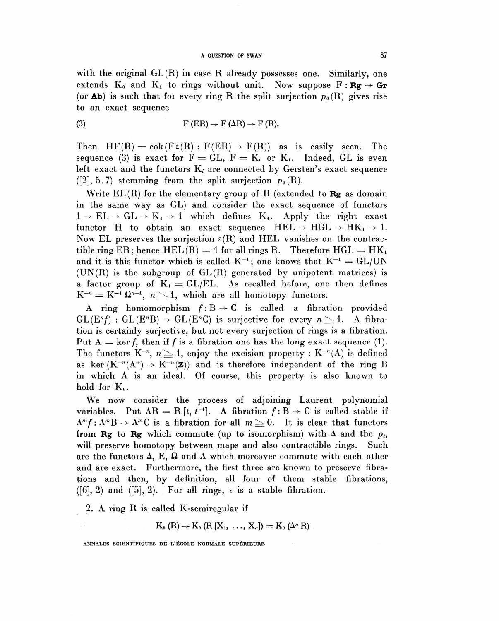## A QUESTION OF SWAN 87

with the original  $GL(R)$  in case R already possesses one. Similarly, one extends  $K_0$  and  $K_1$  to rings without unit. Now suppose  $F : \mathbf{Rg} \to \mathbf{Gr}$ (or **Ab**) is such that for every ring R the split surjection  $p_0(R)$  gives rise to an exact sequence

(3) 
$$
F (ER) \rightarrow F (AR) \rightarrow F (R).
$$

Then  $HF(R) = \text{cok}(F \in (R) : F(ER) \rightarrow F(R))$  as is easily seen. The sequence (3) is exact for  $F = GL$ ,  $F = K_0$  or  $K_i$ . Indeed, GL is even left exact and the functors  $K_i$  are connected by Gersten's exact sequence  $([2], 5.7)$  stemming from the split surjection  $p_0(R)$ .

Write  $EL(R)$  for the elementary group of R (extended to  $Rg$  as domain in the same way as GL) and consider the exact sequence of functors  $1 \rightarrow EL \rightarrow GL \rightarrow K_1 \rightarrow 1$  which defines  $K_1$ . Apply the right exact functor H to obtain an exact sequence  $HEL \rightarrow HGL \rightarrow HK_1 \rightarrow 1$ . Now EL preserves the surjection  $\varepsilon(R)$  and HEL vanishes on the contractible ring ER; hence  $HEL(R) = 1$  for all rings R. Therefore  $HGL = HK<sub>t</sub>$ and it is this functor which is called  $K^{-1}$ ; one knows that  $K^{-1} = GL/UN$  $(UN(R)$  is the subgroup of  $GL(R)$  generated by unipotent matrices) is a factor group of  $K_i = GL/EL$ . As recalled before, one then defines a ractor group or  $\mathbf{K}_1 = \mathbf{GL}/\mathbf{EL}$ . As recalled before, one<br> $\mathbf{K}^{-n} = \mathbf{K}^{-1} \ \Omega^{n-1}, \ n \geq 1,$  which are all homotopy functors.

A ring homomorphism  $f: B \to C$  is called a fibration provided  $GL(E<sup>n</sup>f)$ :  $GL(E<sup>n</sup>B) \rightarrow GL(E<sup>n</sup>C)$  is surjective for every  $n \geq 1$ . A fibration is certainly surjective, but not every surjection of rings is a fibration.<br>Put  $A = \ker f$ , then if f is a fibration one has the long exact sequence (1). Put  $A = \ker f$ , then if f is a fibration one has the long exact sequence (1).<br>The functors  $K^{-n}$ ,  $n \geq 1$ , enjoy the excision property :  $K^{-n}(A)$  is defined as ker  $(K^{-n}(A^+) \rightarrow K^{-n}(Z))$  and is therefore independent of the ring B in which A is an ideal. Of course, this property is also known to hold for  $K_{0}$ .

We now consider the process of adjoining Laurent polynomial variables. Put  $AR = R[t, t^{-1}]$ . A fibration  $f: B \rightarrow C$  is called stable if  $\Lambda^m f: \Lambda^m B \to \Lambda^m C$  is a fibration for all  $m\geq 0$ . It is clear that functors from Rg to Rg which commute (up to isomorphism) with  $\Delta$  and the  $p_i$ , will preserve homotopy between maps and also contractible rings. Such are the functors  $\Delta$ , E,  $\Omega$  and  $\Lambda$  which moreover commute with each other and are exact. Furthermore, the first three are known to preserve fibrations and then, by definition, all four of them stable fibrations,  $([6], 2)$  and  $([5], 2)$ . For all rings,  $\varepsilon$  is a stable fibration.

2. A ring R is called K-semiregular if

 $K_0(R) \to K_0(R [X_1, ..., X_n]) = K_0(\Delta^n R)$ 

ANNALES SCIENTIFIQUE6 DE I/ECOLE NORMALE SUPERIEURE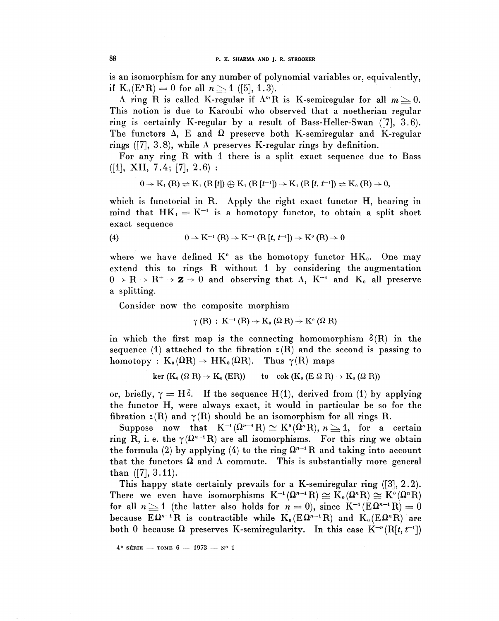is an isomorphism for any number of polynomial variables or, equivalently, if  $K_0(E^n R) = 0$  for all  $n \ge 1$  ([5], 1.3).

A ring R is called K-regular if  $\Lambda^mR$  is K-semiregular for all  $m\geq 0$ . This notion is due to Karoubi who observed that a noetherian regular ring is certainly K-regular by a result of Bass-Heller-Swan ([7], 3.6). The functors  $\Delta$ , E and  $\Omega$  preserve both K-semiregular and K-regular rings ([7], 3.8), while  $\Lambda$  preserves K-regular rings by definition.

For any ring R with 1 there is a split exact sequence due to Bass  $([1], \quad XII, \quad 7.4; \quad [7], \quad 2.6)$ :

$$
0 \rightarrow \mathrm{K}_1\left(\mathrm{R}\right) \rightleftharpoons \mathrm{K}_1\left(\mathrm{R}\left[\mathit{l}'\right]\right) \oplus \mathrm{K}_1\left(\mathrm{R}\left[\mathit{l}'^{-1}\right]\right) \rightarrow \mathrm{K}_1\left(\mathrm{R}\left[\mathit{l}', \mathit{l}^{-1}\right]\right) \rightleftharpoons \mathrm{K}_0\left(\mathrm{R}\right) \to 0,
$$

which is functorial in R. Apply the right exact functor H, bearing in which is rancedular in i.e. http://www.figure.c.accorranged. The solution of the mind that  $HK_1 = K^{-1}$  is a homotopy functor, to obtain a split short exact sequence

(4) 
$$
0 \to K^{-1}(R) \to K^{-1}(R[t, t^{-1}]) \to K^0(R) \to 0
$$

where we have defined  $K^{\circ}$  as the homotopy functor  $HK_{0}$ . One may extend this to rings R without 1 by considering the augmentation  $0 \to \mathbb{R} \to \mathbb{R}^+ \to \mathbb{Z} \to 0$  and observing that  $\Lambda$ ,  $\mathbb{K}^{-1}$  and  $\mathbb{K}_0$  all preserve a splitting.

Consider now the composite morphism

$$
\gamma(R) : K^{-1}(R) \to K_0(\Omega R) \to K^0(\Omega R)
$$

in which the first map is the connecting homomorphism  $\delta(R)$  in the sequence (1) attached to the fibration  $\epsilon(R)$  and the second is passing to homotopy :  $K_0(\Omega R) \rightarrow HK_0(\Omega R)$ . Thus  $\gamma(R)$  maps

$$
\ker (K_0 (\Omega R) \to K_0 (ER)) \quad \text{to} \quad \text{cok } (K_0 (E \Omega R) \to K_0 (\Omega R))
$$

or, briefly,  $\gamma = H\delta$ . If the sequence  $H(1)$ , derived from (1) by applying the functor H, were always exact, it would in particular be so for the fibration  $\epsilon(R)$  and  $\gamma(R)$  should be an isomorphism for all rings R. bration  $\epsilon(R)$  and  $\gamma(R)$  should be an isomorphism for all rings R.<br>Suppose now that  $K^{-1}(\Omega^{n-1}R) \cong K^0(\Omega^nR), n \geq 1$ , for a certain

ring R, i. e. the  $\gamma(\Omega^{n-1}R)$  are all isomorphisms. For this ring we obtain the formula (2) by applying (4) to the ring  $\Omega^{n-1}$  R and taking into account that the functors  $\Omega$  and  $\Lambda$  commute. This is substantially more general than  $([7], 3.11)$ .

This happy state certainly prevails for a K-semiregular ring ([3], 2.2). I his happy state certainly prevails for a K-semiregular ring ([3], 2.2)<br>There we even have isomorphisms  $K^{-1}(\Omega^{n-1}R) \cong K_0(\Omega^nR) \cong K^0(\Omega^nR)$ for all  $n \geq 1$  (the latter also holds for  $n = 0$ ), since  $K^{-1}(E\Omega^{n-1}R) = 0$ because  $E\Omega^{n-1}R$  is contractible while  $K_0(E\Omega^{n-1}R)$  and  $K_0(E\Omega^nR)$  are both 0 because  $\Omega$  preserves K-semiregularity. In this case  $K^{-n}(\mathrm{R}[t, t^{-1}])$ 

88

 $4^e$  série — томе 6 — 1973 —  $N^o$  1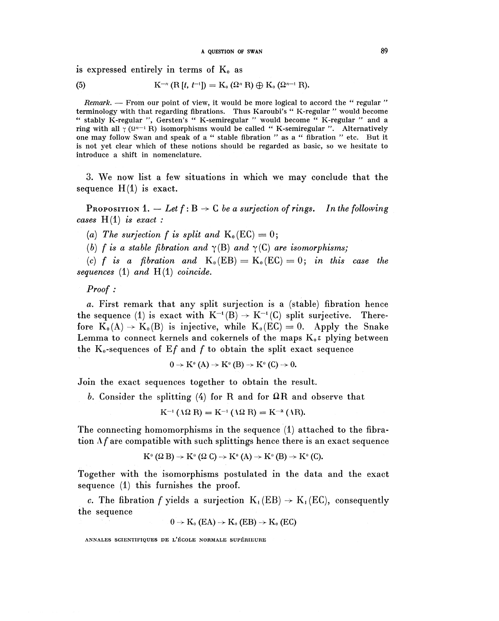is expressed entirely in terms of  $K_0$  as

(5) 
$$
K^{-n} (R[t, t^{-1}]) = K_0 (\Omega^n R) \bigoplus K_0 (\Omega^{n-1} R).
$$

*Remark.* — From our point of view, it would be more logical to accord the " regular " terminology with that regarding fibrations. Thus Karoubi's "K-regular " would become terminology with that regarding fibrations. Thus Karoubi's "K-regular " would become extractional works with that regarding instatons. Thus Raroubles IX regular " would become " stably K-regular ", Gersten's " K-semiregular " would become " K-regular " and a ring with all  $\gamma$  ( $\Omega^{n-1}$  R) isomorphisms would be called " K-semiregular ". Alternatively one may follow Swan and speak of a " stable fibration " as a " fibration " etc. But it is not yet clear which of these notions should be regarded as basic, so we hesitate to introduce a shift in nomenclature.

3. We now list a few situations in which we may conclude that the sequence  $H(1)$  is exact.

**PROPOSITION** 1.  $-$  Let  $f : B \rightarrow C$  be a surjection of rings. In the following *cases* H(l) *is exact :*

(a) The surjection f is split and  $K_0(EC) = 0$ ;

(b) f is a stable fibration and  $\gamma$ (B) and  $\gamma$ (C) are isomorphisms;

(c) f is a fibration and  $K_0(EB) = K_0(EC) = 0$ ; in this case the *sequences* (1) *and* H(l) *coincide.*

*Proof :*

a. First remark that any split surjection is a (stable) fibration hence the sequence (1) is exact with  $K^{-1}(B) \to K^{-1}(C)$  split surjective. Therefore  $K_0(A) \rightarrow K_0(B)$  is injective, while  $K_0(EC) = 0$ . Apply the Snake Lemma to connect kernels and cokernels of the maps  $K_0 \in \mathbb{R}$  plying between the  $K_0$ -sequences of  $Ef$  and  $f$  to obtain the split exact sequence

$$
0 \to K^0(A) \to K^0(B) \to K^0(C) \to 0.
$$

Join the exact sequences together to obtain the result.

b. Consider the splitting (4) for R and for  $\Omega$ R and observe that

$$
K^{-1}(\Lambda\Omega R) = K^{-1}(\Lambda\Omega R) = K^{-\alpha}(\Lambda R).
$$

The connecting homomorphisms in the sequence (1) attached to the fibration  $\Lambda f$  are compatible with such splittings hence there is an exact sequence

$$
K^{\sigma}(\Omega B) \to K^{\sigma}(\Omega C) \to K^{\sigma}(A) \to K^{\sigma}(B) \to K^{\sigma}(C).
$$

Together with the isomorphisms postulated in the data and the exact sequence (1) this furnishes the proof.

*c.* The fibration *f* yields a surjection  $K_i (EB) \rightarrow K_i (EC)$ , consequently the sequence

$$
0 \to \mathrm{K}_0 \left( \mathrm{EA} \right) \to \mathrm{K}_0 \left( \mathrm{EB} \right) \to \mathrm{K}_0 \left( \mathrm{EC} \right)
$$

ANNALES SCIENTIFIQUES DE I/ECOLE NORMALE SUPERIEURE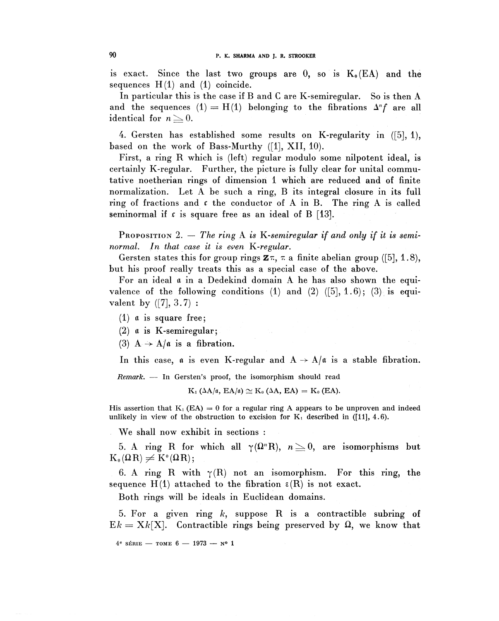is exact. Since the last two groups are  $0$ , so is  $K_0(EA)$  and the sequences  $H(1)$  and  $(1)$  coincide.

In particular this is the case if B and C are K-semiregular. So is then A and the sequences  $(1) = H(1)$  belonging to the fibrations  $\Delta^n f$  are all identical for  $n \geq 0$ .

4. Gersten has established some results on K-regularity in ([5], 1), based on the work of Bass-Murthy ([I], XII, 10).

First, a ring R which is (left) regular modulo some nilpotent ideal, is certainly K-regular. Further, the picture is fully clear for unital commutative noetherian rings of dimension 1 which are reduced and of finite normalization. Let A be such a ring, B its integral closure in its full ring of fractions and  $\epsilon$  the conductor of A in B. The ring A is called seminormal if  $\zeta$  is square free as an ideal of B [13].

PROPOSITION 2. – The ring A is K-semiregular if and only if it is semi*normal. In that case it is even K.-regular.*

Gersten states this for group rings  $\mathbf{z} \pi$ ,  $\pi$  a finite abelian group ([5], 1.8), but his proof really treats this as a special case of the above.

For an ideal a in a Dedekind domain A he has also shown the equivalence of the following conditions (1) and (2)  $([5], 1.6)$ ; (3) is equivalent by  $([7], 3.7)$ :

(1)  $\alpha$  is square free;

(2)  $\alpha$  is K-semiregular;

(3)  $A \rightarrow A/\alpha$  is a fibration.

In this case,  $\alpha$  is even K-regular and  $A \rightarrow A/\alpha$  is a stable fibration.

*Remark. —* In Gersten's proof, the isomorphism should read

 $K_1$  ( $\Delta A/\mathfrak{a}$ ,  $EA/\mathfrak{a}$ )  $\cong K_0$  ( $\Delta A$ ,  $EA$ ) =  $K_0$  (EA).

His assertion that  $K_1$  (EA) = 0 for a regular ring A appears to be unproven and indeed unlikely in view of the obstruction to excision for  $K_1$  described in ([11], 4.6).

We shall now exhibit in sections :

5. A ring R for which all  $\gamma(\Omega^nR)$ ,  $n \geq 0$ , are isomorphisms but  $K_{0}(\Omega R)\neq K^{0}(\Omega R);$ 

6. A ring R with  $\gamma(R)$  not an isomorphism. For this ring, the sequence  $H(1)$  attached to the fibration  $\epsilon(R)$  is not exact.

Both rings will be ideals in Euclidean domains.

5. For a given ring *k,* suppose R is a contractible subring of  $E_k = X_k[X]$ . Contractible rings being preserved by  $\Omega$ , we know that

4 6 SERIE —— TOME **6** —— **1973 —— ?1**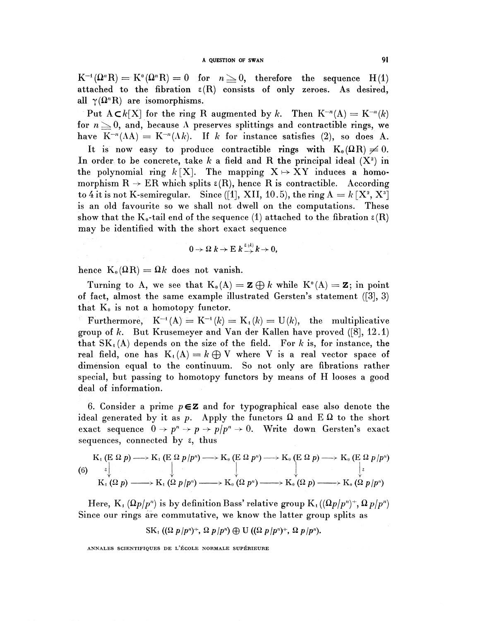$K^{-1}(\Omega^n R) = K^0(\Omega^n R) = 0$  for  $n \geq 0$ , therefore the sequence H(1) attached to the fibration  $\varepsilon(R)$  consists of only zeroes. As desired, all  $\gamma(\Omega^n R)$  are isomorphisms.

Put  $A \subset k[X]$  for the ring R augmented by k. Then  $K^{-n}(A) = K^{-n}(k)$ for  $n \geq 0$ , and, because A preserves splittings and contractible rings, we have  $K^{-n}(\Lambda A) = K^{-n}(\Lambda k)$ . If k for instance satisfies (2), so does A.

It is now easy to produce contractible rings with  $K_0(\Omega R) \neq 0$ . In order to be concrete, take  $k$  a field and R the principal ideal  $(X^2)$  in the polynomial ring  $k$  [X]. The mapping  $X \mapsto XY$  induces a homomorphism  $R \rightarrow ER$  which splits  $\varepsilon(R)$ , hence R is contractible. According to 4 it is not K-semiregular. Since  $(1, 1, 10.5)$ , the ring  $A = k[X^2, X^3]$ is an old favourite so we shall not dwell on the computations. These show that the  $K_0$ -tail end of the sequence (1) attached to the fibration  $\varepsilon(R)$ may be identified with the short exact sequence

$$
0 \to \Omega \ k \to \mathcal{E} \ k \xrightarrow{\varepsilon(k)} k \to 0,
$$

hence  $K_0(\Omega R) = \Omega k$  does not vanish.

Turning to A, we see that  $K_0(A) = \mathbf{Z} \oplus k$  while  $K^0(A) = \mathbf{Z}$ ; in point of fact, almost the same example illustrated Gersten's statement ([3], 3) that  $K_0$  is not a homotopy functor.

Furthermore,  $K^{-1}(A) = K^{-1}(k) = K_1(k) = U(k)$ , the multiplicative group of  $k$ . But Krusemeyer and Van der Kallen have proved  $([8], 12.1)$ that  $SK<sub>1</sub>(A)$  depends on the size of the field. For k is, for instance, the real field, one has  $K_1(A) = k \oplus V$  where V is a real vector space of dimension equal to the continuum. So not only are fibrations rather special, but passing to homotopy functors by means of H looses a good deal of information.

6. Consider a prime  $p \in \mathbb{Z}$  and for typographical ease also denote the ideal generated by it as p. Apply the functors  $\Omega$  and  $E \Omega$  to the short exact sequence  $0 \rightarrow p^n \rightarrow p \rightarrow p/p^n \rightarrow 0$ . Write down Gersten's exact sequences, connected by  $\varepsilon$ , thus deal of information.<br>
6. Consider a prime  $p \in \mathbf{Z}$  and for typographical ease also denoted<br>
ideal generated by it as  $p$ . Apply the functors  $\Omega$  and  $E \Omega$  to the<br>
exact sequence  $0 \to p^n \to p \to p/p^n \to 0$ . Write down Gersten

$$
(6) \quad K_1 \left( E \Omega p \right) \longrightarrow K_1 \left( E \Omega p/p^n \right) \longrightarrow K_0 \left( E \Omega p^n \right) \longrightarrow K_0 \left( E \Omega p \right) \longrightarrow K_0 \left( E \Omega p/p^n \right) \n K_1 \left( \Omega p \right) \longrightarrow K_1 \left( \Omega p/p^n \right) \longrightarrow K_0 \left( \Omega p^n \right) \longrightarrow K_0 \left( \Omega p \right) \longrightarrow K_0 \left( \Omega p/p^n \right)
$$

Here,  $K_1(\Omega p / p^n)$  is by definition Bass' relative group  $K_1((\Omega p / p^n)^+, \Omega p / p^n)$ Since our rings are commutative, we know the latter group splits as

$$
SK1 ((\Omega p/pn)+, \Omega p/pn) \oplus U ((\Omega p/pn)+, \Omega p/pn).
$$

ANNALES SCIENTIFIQUES DE L'ÉCOLE NORMALE SUPÉRIEURE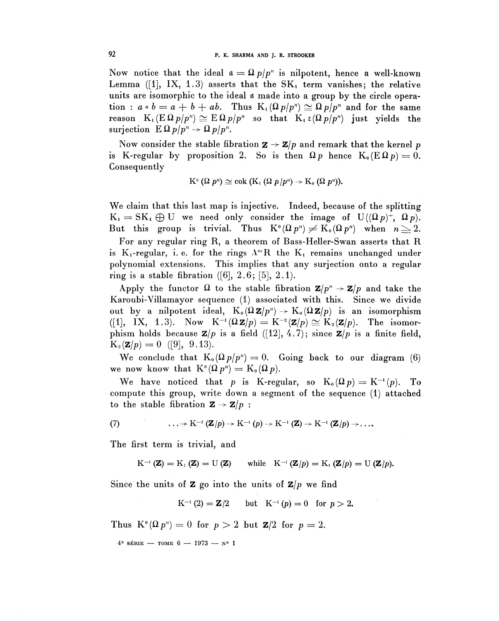Now notice that the ideal  $\mathfrak{a} = \Omega p/p^n$  is nilpotent, hence a well-known Lemma ([1], IX, 1.3) asserts that the  $SK<sub>1</sub>$  term vanishes; the relative units are isomorphic to the ideal a made into a group by the circle operation :  $a \circ b = a + b + ab$ . Thus  $K_1(\Omega p/p^n) \cong \Omega p/p^n$  and for the same reason  $K_i(E \Omega p / p^n) \cong E \Omega p / p^n$  so that  $K_i \in ( \Omega p / p^n)$  just yields the surjection  $E \Omega p / p^n \rightarrow \Omega p / p^n$ .

Now consider the stable fibration  $\mathbf{z} \to \mathbf{z}/p$  and remark that the kernel p is K-regular by proposition 2. So is then  $\Omega p$  hence  $K_0(E \Omega p) = 0$ . Consequently

$$
\mathrm{K}^{\scriptscriptstyle 0}{\,} (\Omega {~p}^n) \cong \mathrm{cok} {\,} (\mathrm{K}_1 {\,} (\Omega {~p} /p^n) \to \mathrm{K}_0 {\,} (\Omega {~p}^n) ).
$$

We claim that this last map is injective. Indeed, because of the splitting  $K_1 = SK_1 \oplus U$  we need only consider the image of  $U((\Omega p)^+, \Omega p)$ .  $K_4 = SK_4 \oplus U$  we need only consider the image of  $U((\Omega p)^+, \Omega p)$ .<br>But this group is trivial. Thus  $K^0(\Omega p^n) \neq K_0(\Omega p^n)$  when  $n \geq 2$ .

For any regular ring R, a theorem of Bass-Heller-Swan asserts that R is  $K_i$ -regular, i. e. for the rings  $\Lambda^m R$  the  $K_i$  remains unchanged under polynomial extensions. This implies that any surjection onto a regular ring is a stable fibration  $([6], 2.6; [5], 2.1)$ .

Apply the functor  $\Omega$  to the stable fibration  $\mathbf{Z}/p^n \to \mathbf{Z}/p$  and take the Karoubi-Villamayor sequence (1) associated with this. Since we divide out by a nilpotent ideal,  $K_0(\Omega \mathbf{Z}/p^n) \to K_0(\Omega \mathbf{Z}/p)$  is an isomorphism ([1], IX, 1.3). Now  $K^{-i}(\Omega \mathbf{Z}/p) = K^{-2}(\mathbf{Z}/p) \cong K_2(\mathbf{Z}/p)$ . The isomor**phism holds because**  $\mathbf{Z}/p$  is a field ([12], 4.7); since  $\mathbf{Z}/p$  is a finite field,  $K_2(\mathbf{Z}/p)=0$  ([9], 9.13).

We conclude that  $K_0(\Omega p/p^n) = 0$ . Going back to our diagram (6) we now know that  $K^0(\Omega p^n) = K_0(\Omega p)$ .

We have noticed that p is K-regular, so  $K_0(\Omega p) = K^{-1}(p)$ . To compute this group, write down a segment of the sequence (1) attached to the stable fibration  $\mathbf{Z} \to \mathbf{Z}/p$  :

(7) 
$$
\ldots \rightarrow K^{-2} (\mathbf{Z}/p) \rightarrow K^{-1} (p) \rightarrow K^{-1} (\mathbf{Z}) \rightarrow K^{-1} (\mathbf{Z}/p) \rightarrow \ldots
$$

The first term is trivial, and

$$
K^{-1}(\mathbf{Z}) = K_1(\mathbf{Z}) = U(\mathbf{Z}) \quad \text{while} \quad K^{-1}(\mathbf{Z}/p) = K_1(\mathbf{Z}/p) = U(\mathbf{Z}/p).
$$

Since the units of **Z** go into the units of  $\mathbf{Z}/p$  we find

 $K^{-1}(2) = \mathbf{Z}/2$  but  $K^{-1}(p) = 0$  for  $p > 2$ .

Thus  $K^{\circ}(\Omega p^n) = 0$  for  $p > 2$  but  $\mathbf{Z}/2$  for  $p = 2$ .

 $4^e$  série — Tome 6 — 1973 — N° 1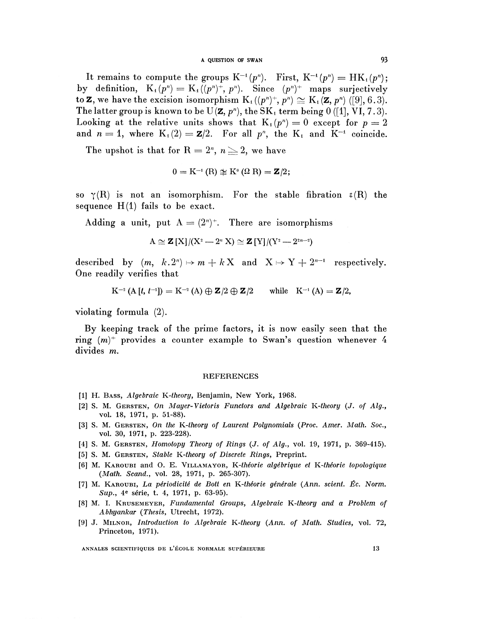### A OUESTION OF SWAN 93

It remains to compute the groups  $K^{-1}(p^n)$ . First,  $K^{-1}(p^n) = HK_1(p^n)$ ; by definition,  $K_1(p^n) = K_1((p^n)^+, p^n)$ . Since  $(p^n)^+$  maps surjectively to **Z**, we have the excision isomorphism  $K_1((p^n)^+, p^n) \cong K_1(\mathbf{Z}, p^n)$  ([9], 6.3). The latter group is known to be  $U(\mathbf{Z}, p^n)$ , the  $SK_1$  term being 0 ([1], VI, 7.3). Looking at the relative units shows that  $K_1(p^n) = 0$  except for  $p = 2$ ECORING at the relative times shows that  $K_1(p) = 0$  except for  $p = 2$ <br>and  $n = 1$ , where  $K_1(2) = \mathbf{Z}/2$ . For all  $p^n$ , the  $K_1$  and  $K^{-1}$  coincide.

The upshot is that for  $R = 2^n$ ,  $n \geq 2$ , we have

$$
0 = K^{-1}(R) \not\cong K^0(\Omega R) = \mathbf{Z}/2;
$$

so  $\gamma(R)$  is not an isomorphism. For the stable fibration  $\epsilon(R)$  the sequence  $H(1)$  fails to be exact.

Adding a unit, put  $A = (2^n)^+$ . There are isomorphisms

$$
A \cong Z[X]/(X^2 - 2^n X) \cong Z[Y]/(Y^2 - 2^{2n-2})
$$

described by  $(m, k.2<sup>n</sup>) \mapsto m + kX$  and  $X \mapsto Y + 2<sup>n-1</sup>$  respectively. One readily verifies that

$$
K^{-2} (A [t, t^{-1}]) = K^{-2} (A) \oplus \mathbf{Z} / 2 \oplus \mathbf{Z} / 2 \quad \text{while} \quad K^{-1} (A) = \mathbf{Z} / 2,
$$

violating formula (2).

By keeping track of the prime factors, it is now easily seen that the ring  $(m)^+$  provides a counter example to Swan's question whenever 4 divides m.

### **REFERENCES**

- [1] H. BASS, *Algebraic K-theory,* Benjamin, New York, 1968.
- [2] S. M. GERSTEN, *On Mayor-Vietoris Functors and Algebraic K-theory (J. of Alg.,* vol. 18, 1971, p. 51-88).
- [3] S. M. GERSTEN, *On the K-theory of Lament Polynomials* (Proc. *Amer. Math. Soc* , vol. 30, 1971, p. 223-228).
- [4] S. M. GERSTEN, *Homotopy Theory of Rings* (J. *of Alg.,* vol. 19, 1971, p. 369-415).
- [5] S. M. GERSTEN, *Stable K-theory of Discrete Rings,* Preprint.
- [6] M. KAROUBI and 0. E. VILLAMAYOR, *K-theorie algebrique et K-theorie topologique (Math. Scand.,* vol. 28, 1971, p. 265-307).
- [7] M. KAROUBI, *La periodicite de Bott en K-theorie generate (Ann. scient. £c. Norm.* л. Какоов*і, La perioatche ae Dou*<br>- *Sup., 4è série, t. 4, 1971, p. 63-95*
- [8] M. I. KRUSEMEYER, *Fundamental Groups, Algebraic K-theory and a Problem of Abhyankar (Thesis,* Utrecht, 1972).
- [9] J. MILNOR, *Introduction to Algebraic K-theory (Ann. of Math. Studies,* vol. 72, Princeton, 1971).

ANNALES SCIENTIFIQUES DE L'ÉCOLE NORMALE SUPÉRIEURE 13